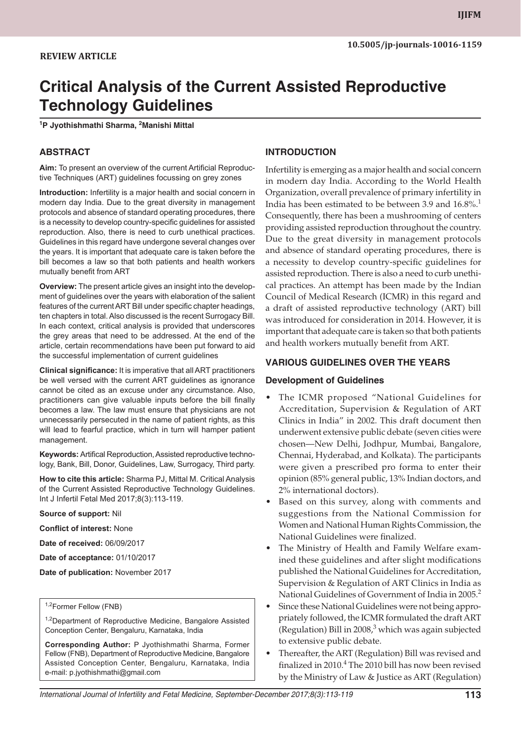# **Critical Analysis of the Current Assisted Reproductive Technology Guidelines**

**1 P Jyothishmathi Sharma, 2 Manishi Mittal**

#### **Abstract**

**Aim:** To present an overview of the current Artificial Reproductive Techniques (ART) guidelines focussing on grey zones

**Introduction:** Infertility is a major health and social concern in modern day India. Due to the great diversity in management protocols and absence of standard operating procedures, there is a necessity to develop country-specific guidelines for assisted reproduction. Also, there is need to curb unethical practices. Guidelines in this regard have undergone several changes over the years. It is important that adequate care is taken before the bill becomes a law so that both patients and health workers mutually benefit from ART

**Overview:** The present article gives an insight into the development of guidelines over the years with elaboration of the salient features of the current ART Bill under specific chapter headings, ten chapters in total. Also discussed is the recent Surrogacy Bill. In each context, critical analysis is provided that underscores the grey areas that need to be addressed. At the end of the article, certain recommendations have been put forward to aid the successful implementation of current guidelines

**Clinical significance:** It is imperative that all ART practitioners be well versed with the current ART guidelines as ignorance cannot be cited as an excuse under any circumstance. Also, practitioners can give valuable inputs before the bill finally becomes a law. The law must ensure that physicians are not unnecessarily persecuted in the name of patient rights, as this will lead to fearful practice, which in turn will hamper patient management.

**Keywords:** Artifical Reproduction, Assisted reproductive technology, Bank, Bill, Donor, Guidelines, Law, Surrogacy, Third party.

**How to cite this article:** Sharma PJ, Mittal M. Critical Analysis of the Current Assisted Reproductive Technology Guidelines. Int J Infertil Fetal Med 2017;8(3):113-119.

**Source of support:** Nil

**Conflict of interest:** None

**Date of received:** 06/09/2017

**Date of acceptance:** 01/10/2017

**Date of publication:** November 2017

#### 1,2Former Fellow (FNB)

<sup>1,2</sup>Department of Reproductive Medicine, Bangalore Assisted Conception Center, Bengaluru, Karnataka, India

**Corresponding Author:** P Jyothishmathi Sharma, Former Fellow (FNB), Department of Reproductive Medicine, Bangalore Assisted Conception Center, Bengaluru, Karnataka, India e-mail: p.jyothishmathi@gmail.com

#### **INTRODUCTION**

Infertility is emerging as a major health and social concern in modern day India. According to the World Health Organization, overall prevalence of primary infertility in India has been estimated to be between 3.9 and  $16.8\%$ <sup>1</sup> Consequently, there has been a mushrooming of centers providing assisted reproduction throughout the country. Due to the great diversity in management protocols and absence of standard operating procedures, there is a necessity to develop country-specific guidelines for assisted reproduction. There is also a need to curb unethical practices. An attempt has been made by the Indian Council of Medical Research (ICMR) in this regard and a draft of assisted reproductive technology (ART) bill was introduced for consideration in 2014. However, it is important that adequate care is taken so that both patients and health workers mutually benefit from ART.

#### **VARIOUS GUIDELINES OVER THE YEARS**

#### **Development of Guidelines**

- • The ICMR proposed "National Guidelines for Accreditation, Supervision & Regulation of ART Clinics in India" in 2002. This draft document then underwent extensive public debate (seven cities were chosen—New Delhi, Jodhpur, Mumbai, Bangalore, Chennai, Hyderabad, and Kolkata). The participants were given a prescribed pro forma to enter their opinion (85% general public, 13% Indian doctors, and 2% international doctors).
- Based on this survey, along with comments and suggestions from the National Commission for Women and National Human Rights Commission, the National Guidelines were finalized.
- The Ministry of Health and Family Welfare examined these guidelines and after slight modifications published the National Guidelines for Accreditation, Supervision & Regulation of ART Clinics in India as National Guidelines of Government of India in 2005.<sup>2</sup>
- Since these National Guidelines were not being appropriately followed, the ICMR formulated the draft ART (Regulation) Bill in  $2008<sup>3</sup>$  which was again subjected to extensive public debate.
- Thereafter, the ART (Regulation) Bill was revised and finalized in 2010.<sup>4</sup> The 2010 bill has now been revised by the Ministry of Law & Justice as ART (Regulation)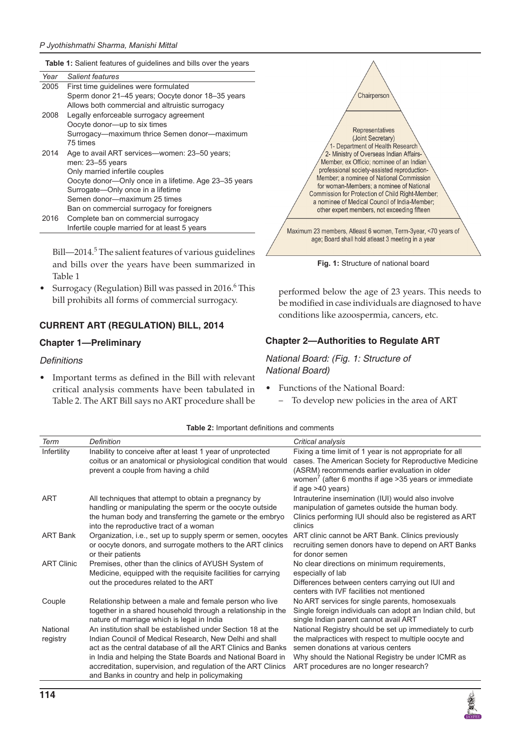**Table 1:** Salient features of guidelines and bills over the years

| Year | Salient features                                      |
|------|-------------------------------------------------------|
| 2005 | First time quidelines were formulated                 |
|      | Sperm donor 21–45 years; Oocyte donor 18–35 years     |
|      | Allows both commercial and altruistic surrogacy       |
| 2008 | Legally enforceable surrogacy agreement               |
|      | Oocyte donor—up to six times                          |
|      | Surrogacy-maximum thrice Semen donor-maximum          |
|      | 75 times                                              |
| 2014 | Age to avail ART services—women: 23–50 years;         |
|      | men: 23-55 years                                      |
|      | Only married infertile couples                        |
|      | Oocyte donor-Only once in a lifetime. Age 23-35 years |
|      | Surrogate-Only once in a lifetime                     |
|      | Semen donor-maximum 25 times                          |
|      | Ban on commercial surrogacy for foreigners            |
| 2016 | Complete ban on commercial surrogacy                  |
|      | Infertile couple married for at least 5 years         |

Bill—2014.<sup>5</sup> The salient features of various guidelines and bills over the years have been summarized in Table 1

• Surrogacy (Regulation) Bill was passed in 2016.<sup>6</sup> This bill prohibits all forms of commercial surrogacy.

#### **CURRENT ART (REGULATION) BILL, 2014**

#### **Chapter 1—Preliminary**

#### **Definitions**

Important terms as defined in the Bill with relevant critical analysis comments have been tabulated in Table 2. The ART Bill says no ART procedure shall be



Fig. 1: Structure of national board

performed below the age of 23 years. This needs to be modified in case individuals are diagnosed to have conditions like azoospermia, cancers, etc.

#### **Chapter 2—Authorities to Regulate ART**

#### *National Board: (Fig. 1: Structure of National Board)*

- • Functions of the National Board:
	- To develop new policies in the area of ART

| Term                 | Definition                                                                                                                                                                                                                                                                                                                                                              | Critical analysis                                                                                                                                                                                                                                               |
|----------------------|-------------------------------------------------------------------------------------------------------------------------------------------------------------------------------------------------------------------------------------------------------------------------------------------------------------------------------------------------------------------------|-----------------------------------------------------------------------------------------------------------------------------------------------------------------------------------------------------------------------------------------------------------------|
| Infertility          | Inability to conceive after at least 1 year of unprotected<br>coitus or an anatomical or physiological condition that would<br>prevent a couple from having a child                                                                                                                                                                                                     | Fixing a time limit of 1 year is not appropriate for all<br>cases. The American Society for Reproductive Medicine<br>(ASRM) recommends earlier evaluation in older<br>women <sup>7</sup> (after 6 months if age $>35$ years or immediate<br>if age $>40$ years) |
| <b>ART</b>           | All techniques that attempt to obtain a pregnancy by<br>handling or manipulating the sperm or the oocyte outside<br>the human body and transferring the gamete or the embryo<br>into the reproductive tract of a woman                                                                                                                                                  | Intrauterine insemination (IUI) would also involve<br>manipulation of gametes outside the human body.<br>Clinics performing IUI should also be registered as ART<br>clinics                                                                                     |
| <b>ART Bank</b>      | Organization, i.e., set up to supply sperm or semen, oocytes<br>or oocyte donors, and surrogate mothers to the ART clinics<br>or their patients                                                                                                                                                                                                                         | ART clinic cannot be ART Bank. Clinics previously<br>recruiting semen donors have to depend on ART Banks<br>for donor semen                                                                                                                                     |
| <b>ART Clinic</b>    | Premises, other than the clinics of AYUSH System of<br>Medicine, equipped with the requisite facilities for carrying<br>out the procedures related to the ART                                                                                                                                                                                                           | No clear directions on minimum requirements,<br>especially of lab<br>Differences between centers carrying out IUI and<br>centers with IVF facilities not mentioned                                                                                              |
| Couple               | Relationship between a male and female person who live<br>together in a shared household through a relationship in the<br>nature of marriage which is legal in India                                                                                                                                                                                                    | No ART services for single parents, homosexuals<br>Single foreign individuals can adopt an Indian child, but<br>single Indian parent cannot avail ART                                                                                                           |
| National<br>registry | An institution shall be established under Section 18 at the<br>Indian Council of Medical Research, New Delhi and shall<br>act as the central database of all the ART Clinics and Banks<br>in India and helping the State Boards and National Board in<br>accreditation, supervision, and regulation of the ART Clinics<br>and Banks in country and help in policymaking | National Registry should be set up immediately to curb<br>the malpractices with respect to multiple oocyte and<br>semen donations at various centers<br>Why should the National Registry be under ICMR as<br>ART procedures are no longer research?             |

**Table 2:** Important definitions and comments

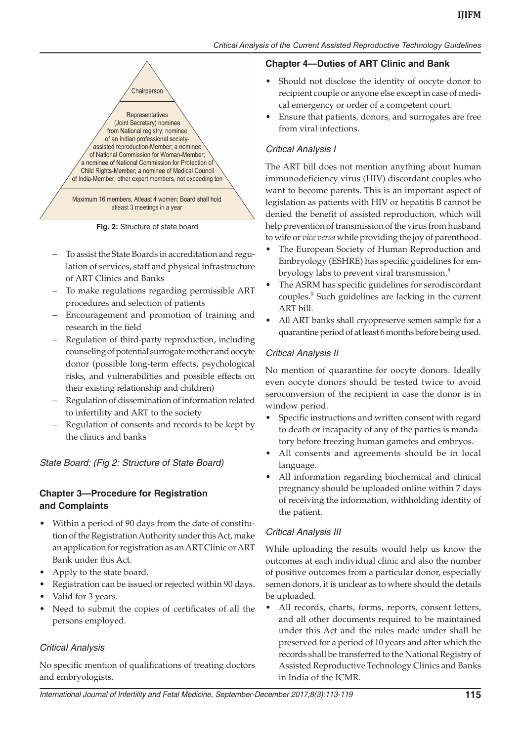

**Fig. 2:** Structure of state board

- To assist the State Boards in accreditation and regulation of services, staff and physical infrastructure of ART Clinics and Banks
- To make regulations regarding permissible ART procedures and selection of patients
- Encouragement and promotion of training and research in the field
- Regulation of third-party reproduction, including counseling of potential surrogate mother and oocyte donor (possible long-term effects, psychological risks, and vulnerabilities and possible effects on their existing relationship and children)
- Regulation of dissemination of information related to infertility and ART to the society
- Regulation of consents and records to be kept by the clinics and banks

*State Board: (Fig 2: Structure of State Board)*

# **Chapter 3—Procedure for Registration and Complaints**

- Within a period of 90 days from the date of constitution of the Registration Authority under this Act, make an application for registration as an ART Clinic or ART Bank under this Act.
- Apply to the state board.
- Registration can be issued or rejected within 90 days.
- Valid for 3 years.
- Need to submit the copies of certificates of all the persons employed.

### Critical Analysis

No specific mention of qualifications of treating doctors and embryologists.

# **Chapter 4—Duties of ART Clinic and Bank**

- Should not disclose the identity of oocyte donor to recipient couple or anyone else except in case of medical emergency or order of a competent court.
- Ensure that patients, donors, and surrogates are free from viral infections.

# Critical Analysis I

The ART bill does not mention anything about human immunodeficiency virus (HIV) discordant couples who want to become parents. This is an important aspect of legislation as patients with HIV or hepatitis B cannot be denied the benefit of assisted reproduction, which will help prevention of transmission of the virus from husband to wife or *vice versa* while providing the joy of parenthood.

- The European Society of Human Reproduction and Embryology (ESHRE) has specific guidelines for embryology labs to prevent viral transmission.<sup>8</sup>
- The ASRM has specific guidelines for serodiscordant couples.<sup>9</sup> Such guidelines are lacking in the current ART bill.
- All ART banks shall cryopreserve semen sample for a quarantine period of at least 6 months before being used.

# Critical Analysis II

No mention of quarantine for oocyte donors. Ideally even oocyte donors should be tested twice to avoid seroconversion of the recipient in case the donor is in window period.

- Specific instructions and written consent with regard to death or incapacity of any of the parties is mandatory before freezing human gametes and embryos.
- All consents and agreements should be in local language.
- • All information regarding biochemical and clinical pregnancy should be uploaded online within 7 days of receiving the information, withholding identity of the patient.

# Critical Analysis III

While uploading the results would help us know the outcomes at each individual clinic and also the number of positive outcomes from a particular donor, especially semen donors, it is unclear as to where should the details be uploaded.

• All records, charts, forms, reports, consent letters, and all other documents required to be maintained under this Act and the rules made under shall be preserved for a period of 10 years and after which the records shall be transferred to the National Registry of Assisted Reproductive Technology Clinics and Banks in India of the ICMR.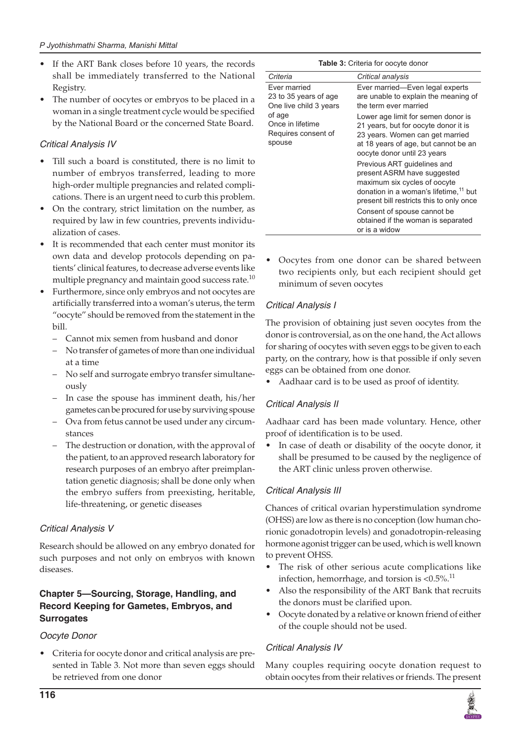- If the ART Bank closes before 10 years, the records shall be immediately transferred to the National Registry.
- The number of oocytes or embryos to be placed in a woman in a single treatment cycle would be specified by the National Board or the concerned State Board.

### Critical Analysis IV

- Till such a board is constituted, there is no limit to number of embryos transferred, leading to more high-order multiple pregnancies and related complications. There is an urgent need to curb this problem.
- On the contrary, strict limitation on the number, as required by law in few countries, prevents individualization of cases.
- It is recommended that each center must monitor its own data and develop protocols depending on patients' clinical features, to decrease adverse events like multiple pregnancy and maintain good success rate. $^{10}$
- Furthermore, since only embryos and not oocytes are artificially transferred into a woman's uterus, the term "oocyte" should be removed from the statement in the bill.
	- Cannot mix semen from husband and donor
	- No transfer of gametes of more than one individual at a time
	- No self and surrogate embryo transfer simultaneously
	- In case the spouse has imminent death, his/her gametes can be procured for use by surviving spouse
	- Ova from fetus cannot be used under any circumstances
	- The destruction or donation, with the approval of the patient, to an approved research laboratory for research purposes of an embryo after preimplantation genetic diagnosis; shall be done only when the embryo suffers from preexisting, heritable, life-threatening, or genetic diseases

### Critical Analysis V

Research should be allowed on any embryo donated for such purposes and not only on embryos with known diseases.

### **Chapter 5—Sourcing, Storage, Handling, and Record Keeping for Gametes, Embryos, and Surrogates**

### *Oocyte Donor*

Criteria for oocyte donor and critical analysis are presented in Table 3. Not more than seven eggs should be retrieved from one donor

| Table 3: Criteria for oocyte donor                              |                                                                                                                                                                                             |  |  |
|-----------------------------------------------------------------|---------------------------------------------------------------------------------------------------------------------------------------------------------------------------------------------|--|--|
| Criteria                                                        | Critical analysis                                                                                                                                                                           |  |  |
| Ever married<br>23 to 35 years of age<br>One live child 3 years | Ever married-Even legal experts<br>are unable to explain the meaning of<br>the term ever married                                                                                            |  |  |
| of age<br>Once in lifetime<br>Requires consent of<br>spouse     | Lower age limit for semen donor is<br>21 years, but for oocyte donor it is<br>23 years. Women can get married<br>at 18 years of age, but cannot be an<br>oocyte donor until 23 years        |  |  |
|                                                                 | Previous ART guidelines and<br>present ASRM have suggested<br>maximum six cycles of oocyte<br>donation in a woman's lifetime, <sup>11</sup> but<br>present bill restricts this to only once |  |  |
|                                                                 | Consent of spouse cannot be.<br>obtained if the woman is separated<br>or is a widow                                                                                                         |  |  |

Oocytes from one donor can be shared between two recipients only, but each recipient should get minimum of seven oocytes

# Critical Analysis I

The provision of obtaining just seven oocytes from the donor is controversial, as on the one hand, the Act allows for sharing of oocytes with seven eggs to be given to each party, on the contrary, how is that possible if only seven eggs can be obtained from one donor.

Aadhaar card is to be used as proof of identity.

# Critical Analysis II

Aadhaar card has been made voluntary. Hence, other proof of identification is to be used.

• In case of death or disability of the oocyte donor, it shall be presumed to be caused by the negligence of the ART clinic unless proven otherwise.

# Critical Analysis III

Chances of critical ovarian hyperstimulation syndrome (OHSS) are low as there is no conception (low human chorionic gonadotropin levels) and gonadotropin-releasing hormone agonist trigger can be used, which is well known to prevent OHSS.

- The risk of other serious acute complications like infection, hemorrhage, and torsion is  $< 0.5\%$ .<sup>11</sup>
- Also the responsibility of the ART Bank that recruits the donors must be clarified upon.
- Oocyte donated by a relative or known friend of either of the couple should not be used.

# Critical Analysis IV

Many couples requiring oocyte donation request to obtain oocytes from their relatives or friends. The present

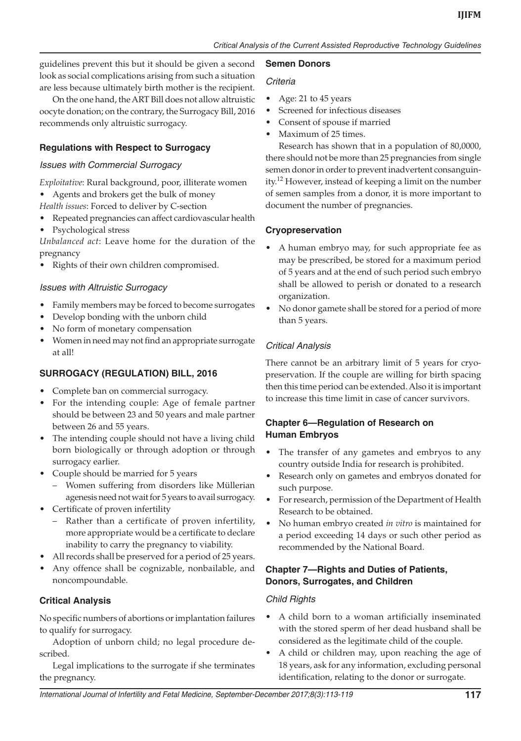guidelines prevent this but it should be given a second look as social complications arising from such a situation are less because ultimately birth mother is the recipient.

On the one hand, theART Bill does not allow altruistic oocyte donation; on the contrary, the Surrogacy Bill, 2016 recommends only altruistic surrogacy.

### **Regulations with Respect to Surrogacy**

#### Issues with Commercial Surrogacy

*Exploitative*: Rural background, poor, illiterate women

• Agents and brokers get the bulk of money *Health issues*: Forced to deliver by C-section

Repeated pregnancies can affect cardiovascular health Psychological stress

*Unbalanced act*: Leave home for the duration of the pregnancy

• Rights of their own children compromised.

#### Issues with Altruistic Surrogacy

- Family members may be forced to become surrogates
- Develop bonding with the unborn child
- No form of monetary compensation
- Women in need may not find an appropriate surrogate at all!

### **SURROGACY (REGULATION) BILL, 2016**

- • Complete ban on commercial surrogacy.
- For the intending couple: Age of female partner should be between 23 and 50 years and male partner between 26 and 55 years.
- The intending couple should not have a living child born biologically or through adoption or through surrogacy earlier.
- Couple should be married for 5 years
	- Women suffering from disorders like Müllerian agenesis need not wait for 5 years to avail surrogacy.
- • Certificate of proven infertility
	- Rather than a certificate of proven infertility, more appropriate would be a certificate to declare inability to carry the pregnancy to viability.
- All records shall be preserved for a period of 25 years.
- Any offence shall be cognizable, nonbailable, and noncompoundable.

### **Critical Analysis**

No specific numbers of abortions or implantation failures to qualify for surrogacy.

Adoption of unborn child; no legal procedure described.

Legal implications to the surrogate if she terminates the pregnancy.

#### **Semen Donors**

#### *Criteria*

- Age: 21 to 45 years
- Screened for infectious diseases
- Consent of spouse if married
- Maximum of 25 times.

Research has shown that in a population of 80,0000, there should not be more than 25 pregnancies from single semen donor in order to prevent inadvertent consanguinity.<sup>12</sup> However, instead of keeping a limit on the number of semen samples from a donor, it is more important to document the number of pregnancies.

#### **Cryopreservation**

- • A human embryo may, for such appropriate fee as may be prescribed, be stored for a maximum period of 5 years and at the end of such period such embryo shall be allowed to perish or donated to a research organization.
- No donor gamete shall be stored for a period of more than 5 years.

### Critical Analysis

There cannot be an arbitrary limit of 5 years for cryopreservation. If the couple are willing for birth spacing then this time period can be extended. Also it is important to increase this time limit in case of cancer survivors.

# **Chapter 6—Regulation of Research on Human Embryos**

- The transfer of any gametes and embryos to any country outside India for research is prohibited.
- Research only on gametes and embryos donated for such purpose.
- For research, permission of the Department of Health Research to be obtained.
- • No human embryo created *in vitro* is maintained for a period exceeding 14 days or such other period as recommended by the National Board.

### **Chapter 7—Rights and Duties of Patients, Donors, Surrogates, and Children**

### Child Rights

- • A child born to a woman artificially inseminated with the stored sperm of her dead husband shall be considered as the legitimate child of the couple.
- • A child or children may, upon reaching the age of 18 years, ask for any information, excluding personal identification, relating to the donor or surrogate.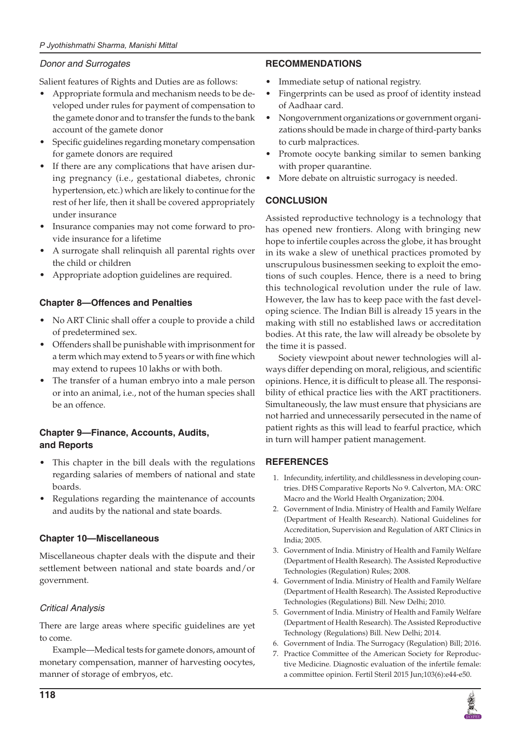#### *P Jyothishmathi Sharma, Manishi Mittal*

### Donor and Surrogates

Salient features of Rights and Duties are as follows:

- Appropriate formula and mechanism needs to be developed under rules for payment of compensation to the gamete donor and to transfer the funds to the bank account of the gamete donor
- • Specific guidelines regarding monetary compensation for gamete donors are required
- If there are any complications that have arisen during pregnancy (i.e., gestational diabetes, chronic hypertension, etc.) which are likely to continue for the rest of her life, then it shall be covered appropriately under insurance
- Insurance companies may not come forward to provide insurance for a lifetime
- A surrogate shall relinquish all parental rights over the child or children
- Appropriate adoption guidelines are required.

### **Chapter 8—Offences and Penalties**

- No ART Clinic shall offer a couple to provide a child of predetermined sex.
- Offenders shall be punishable with imprisonment for a term which may extend to 5 years or with fine which may extend to rupees 10 lakhs or with both.
- The transfer of a human embryo into a male person or into an animal, i.e., not of the human species shall be an offence.

### **Chapter 9—Finance, Accounts, Audits, and Reports**

- This chapter in the bill deals with the regulations regarding salaries of members of national and state boards.
- Regulations regarding the maintenance of accounts and audits by the national and state boards.

### **Chapter 10—Miscellaneous**

Miscellaneous chapter deals with the dispute and their settlement between national and state boards and/or government.

# Critical Analysis

There are large areas where specific guidelines are yet to come.

Example—Medical tests for gamete donors, amount of monetary compensation, manner of harvesting oocytes, manner of storage of embryos, etc.

# **RECOMMENDATIONS**

- Immediate setup of national registry.
- • Fingerprints can be used as proof of identity instead of Aadhaar card.
- • Nongovernment organizations or government organizations should be made in charge of third-party banks to curb malpractices.
- Promote oocyte banking similar to semen banking with proper quarantine.
- More debate on altruistic surrogacy is needed.

### **CONCLUSION**

Assisted reproductive technology is a technology that has opened new frontiers. Along with bringing new hope to infertile couples across the globe, it has brought in its wake a slew of unethical practices promoted by unscrupulous businessmen seeking to exploit the emotions of such couples. Hence, there is a need to bring this technological revolution under the rule of law. However, the law has to keep pace with the fast developing science. The Indian Bill is already 15 years in the making with still no established laws or accreditation bodies. At this rate, the law will already be obsolete by the time it is passed.

Society viewpoint about newer technologies will always differ depending on moral, religious, and scientific opinions. Hence, it is difficult to please all. The responsibility of ethical practice lies with the ART practitioners. Simultaneously, the law must ensure that physicians are not harried and unnecessarily persecuted in the name of patient rights as this will lead to fearful practice, which in turn will hamper patient management.

# **REFERENCES**

- 1. Infecundity, infertility, and childlessness in developing countries. DHS Comparative Reports No 9. Calverton, MA: ORC Macro and the World Health Organization; 2004.
- 2. Government of India. Ministry of Health and Family Welfare (Department of Health Research). National Guidelines for Accreditation, Supervision and Regulation of ART Clinics in India; 2005.
- 3. Government of India. Ministry of Health and Family Welfare (Department of Health Research). The Assisted Reproductive Technologies (Regulation) Rules; 2008.
- 4. Government of India. Ministry of Health and Family Welfare (Department of Health Research). The Assisted Reproductive Technologies (Regulations) Bill. New Delhi; 2010.
- 5. Government of India. Ministry of Health and Family Welfare (Department of Health Research). The Assisted Reproductive Technology (Regulations) Bill. New Delhi; 2014.
- 6. Government of India. The Surrogacy (Regulation) Bill; 2016.
- 7. Practice Committee of the American Society for Reproductive Medicine. Diagnostic evaluation of the infertile female: a committee opinion. Fertil Steril 2015 Jun;103(6):e44-e50.